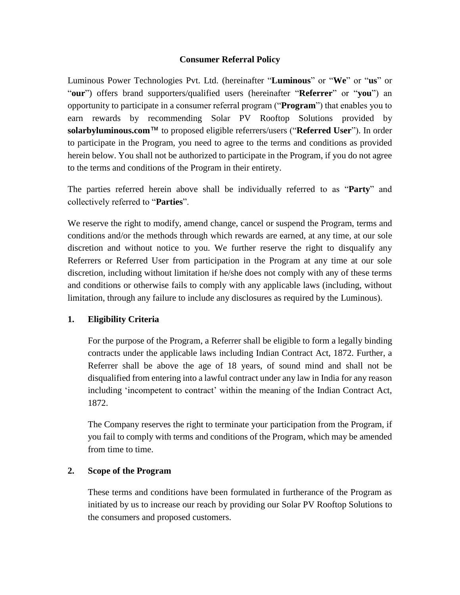## **Consumer Referral Policy**

Luminous Power Technologies Pvt. Ltd. (hereinafter "**Luminous**" or "**We**" or "**us**" or "**our**") offers brand supporters/qualified users (hereinafter "**Referrer**" or "**you**") an opportunity to participate in a consumer referral program ("**Program**") that enables you to earn rewards by recommending Solar PV Rooftop Solutions provided by **solarbyluminous.com**™ to proposed eligible referrers/users ("**Referred User**"). In order to participate in the Program, you need to agree to the terms and conditions as provided herein below. You shall not be authorized to participate in the Program, if you do not agree to the terms and conditions of the Program in their entirety.

The parties referred herein above shall be individually referred to as "**Party**" and collectively referred to "**Parties**".

We reserve the right to modify, amend change, cancel or suspend the Program, terms and conditions and/or the methods through which rewards are earned, at any time, at our sole discretion and without notice to you. We further reserve the right to disqualify any Referrers or Referred User from participation in the Program at any time at our sole discretion, including without limitation if he/she does not comply with any of these terms and conditions or otherwise fails to comply with any applicable laws (including, without limitation, through any failure to include any disclosures as required by the Luminous).

## **1. Eligibility Criteria**

For the purpose of the Program, a Referrer shall be eligible to form a legally binding contracts under the applicable laws including Indian Contract Act, 1872. Further, a Referrer shall be above the age of 18 years, of sound mind and shall not be disqualified from entering into a lawful contract under any law in India for any reason including 'incompetent to contract' within the meaning of the Indian Contract Act, 1872.

The Company reserves the right to terminate your participation from the Program, if you fail to comply with terms and conditions of the Program, which may be amended from time to time.

### **2. Scope of the Program**

These terms and conditions have been formulated in furtherance of the Program as initiated by us to increase our reach by providing our Solar PV Rooftop Solutions to the consumers and proposed customers.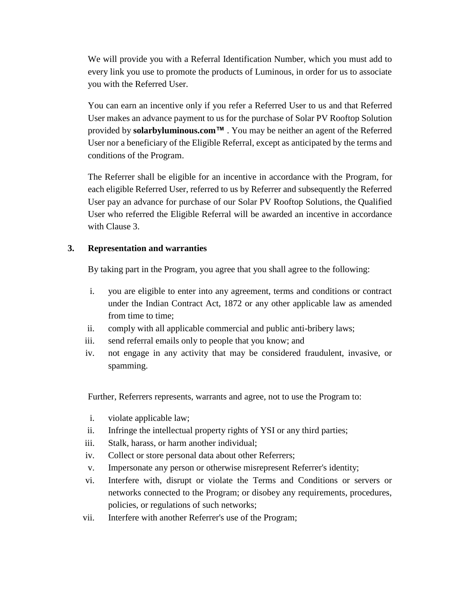We will provide you with a Referral Identification Number, which you must add to every link you use to promote the products of Luminous, in order for us to associate you with the Referred User.

You can earn an incentive only if you refer a Referred User to us and that Referred User makes an advance payment to us for the purchase of Solar PV Rooftop Solution provided by **solarbyluminous.com™** . You may be neither an agent of the Referred User nor a beneficiary of the Eligible Referral, except as anticipated by the terms and conditions of the Program.

The Referrer shall be eligible for an incentive in accordance with the Program, for each eligible Referred User, referred to us by Referrer and subsequently the Referred User pay an advance for purchase of our Solar PV Rooftop Solutions, the Qualified User who referred the Eligible Referral will be awarded an incentive in accordance with Clause 3.

## **3. Representation and warranties**

By taking part in the Program, you agree that you shall agree to the following:

- i. you are eligible to enter into any agreement, terms and conditions or contract under the Indian Contract Act, 1872 or any other applicable law as amended from time to time;
- ii. comply with all applicable commercial and public anti-bribery laws;
- iii. send referral emails only to people that you know; and
- iv. not engage in any activity that may be considered fraudulent, invasive, or spamming.

Further, Referrers represents, warrants and agree, not to use the Program to:

- i. violate applicable law;
- ii. Infringe the intellectual property rights of YSI or any third parties;
- iii. Stalk, harass, or harm another individual;
- iv. Collect or store personal data about other Referrers;
- v. Impersonate any person or otherwise misrepresent Referrer's identity;
- vi. Interfere with, disrupt or violate the Terms and Conditions or servers or networks connected to the Program; or disobey any requirements, procedures, policies, or regulations of such networks;
- vii. Interfere with another Referrer's use of the Program;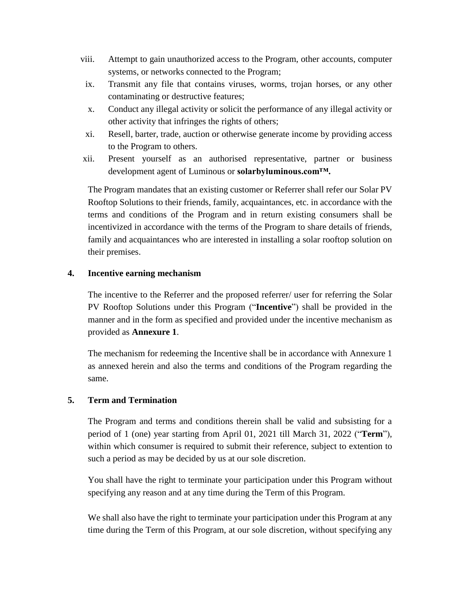- viii. Attempt to gain unauthorized access to the Program, other accounts, computer systems, or networks connected to the Program;
- ix. Transmit any file that contains viruses, worms, trojan horses, or any other contaminating or destructive features;
- x. Conduct any illegal activity or solicit the performance of any illegal activity or other activity that infringes the rights of others;
- xi. Resell, barter, trade, auction or otherwise generate income by providing access to the Program to others.
- xii. Present yourself as an authorised representative, partner or business development agent of Luminous or **solarbyluminous.com™.**

The Program mandates that an existing customer or Referrer shall refer our Solar PV Rooftop Solutions to their friends, family, acquaintances, etc. in accordance with the terms and conditions of the Program and in return existing consumers shall be incentivized in accordance with the terms of the Program to share details of friends, family and acquaintances who are interested in installing a solar rooftop solution on their premises.

## **4. Incentive earning mechanism**

The incentive to the Referrer and the proposed referrer/ user for referring the Solar PV Rooftop Solutions under this Program ("**Incentive**") shall be provided in the manner and in the form as specified and provided under the incentive mechanism as provided as **Annexure 1**.

The mechanism for redeeming the Incentive shall be in accordance with Annexure 1 as annexed herein and also the terms and conditions of the Program regarding the same.

## **5. Term and Termination**

The Program and terms and conditions therein shall be valid and subsisting for a period of 1 (one) year starting from April 01, 2021 till March 31, 2022 ("**Term**"), within which consumer is required to submit their reference, subject to extention to such a period as may be decided by us at our sole discretion.

You shall have the right to terminate your participation under this Program without specifying any reason and at any time during the Term of this Program.

We shall also have the right to terminate your participation under this Program at any time during the Term of this Program, at our sole discretion, without specifying any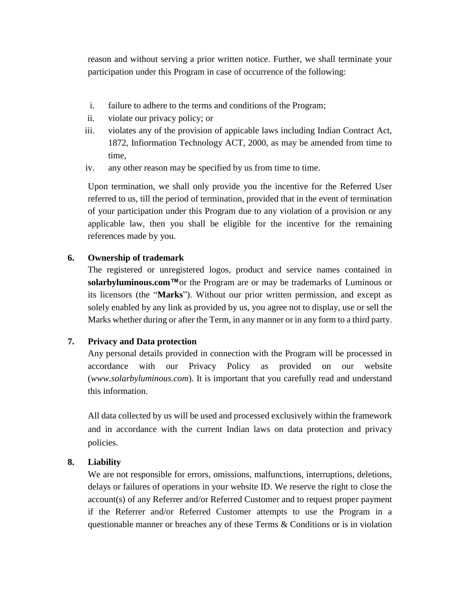reason and without serving a prior written notice. Further, we shall terminate your participation under this Program in case of occurrence of the following:

- i. failure to adhere to the terms and conditions of the Program;
- ii. violate our privacy policy; or
- iii. violates any of the provision of appicable laws including Indian Contract Act, 1872, Infiormation Technology ACT, 2000, as may be amended from time to time,
- iv. any other reason may be specified by us from time to time.

Upon termination, we shall only provide you the incentive for the Referred User referred to us, till the period of termination, provided that in the event of termination of your participation under this Program due to any violation of a provision or any applicable law, then you shall be eligible for the incentive for the remaining references made by you.

## **6. Ownership of trademark**

The registered or unregistered logos, product and service names contained in **solarbyluminous.com™**or the Program are or may be trademarks of Luminous or its licensors (the "**Marks**"). Without our prior written permission, and except as solely enabled by any link as provided by us, you agree not to display, use or sell the Marks whether during or after the Term, in any manner or in any form to a third party.

## **7. Privacy and Data protection**

Any personal details provided in connection with the Program will be processed in accordance with our Privacy Policy as provided on our website (*www.solarbyluminous.com*). It is important that you carefully read and understand this information.

All data collected by us will be used and processed exclusively within the framework and in accordance with the current Indian laws on data protection and privacy policies.

## **8. Liability**

We are not responsible for errors, omissions, malfunctions, interruptions, deletions, delays or failures of operations in your website ID. We reserve the right to close the account(s) of any Referrer and/or Referred Customer and to request proper payment if the Referrer and/or Referred Customer attempts to use the Program in a questionable manner or breaches any of these Terms & Conditions or is in violation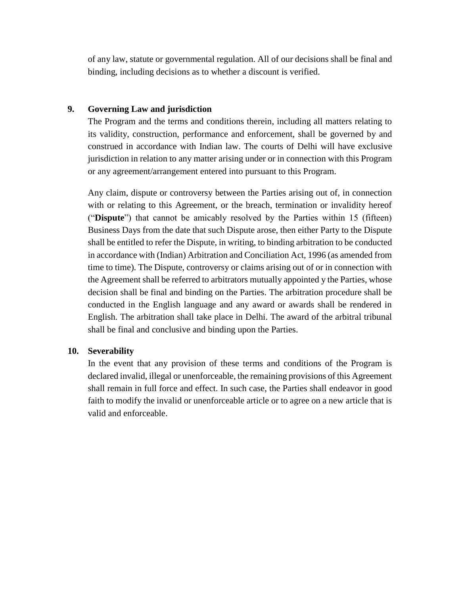of any law, statute or governmental regulation. All of our decisions shall be final and binding, including decisions as to whether a discount is verified.

### **9. Governing Law and jurisdiction**

The Program and the terms and conditions therein, including all matters relating to its validity, construction, performance and enforcement, shall be governed by and construed in accordance with Indian law. The courts of Delhi will have exclusive jurisdiction in relation to any matter arising under or in connection with this Program or any agreement/arrangement entered into pursuant to this Program.

Any claim, dispute or controversy between the Parties arising out of, in connection with or relating to this Agreement, or the breach, termination or invalidity hereof ("**Dispute**") that cannot be amicably resolved by the Parties within 15 (fifteen) Business Days from the date that such Dispute arose, then either Party to the Dispute shall be entitled to refer the Dispute, in writing, to binding arbitration to be conducted in accordance with (Indian) Arbitration and Conciliation Act, 1996 (as amended from time to time). The Dispute, controversy or claims arising out of or in connection with the Agreement shall be referred to arbitrators mutually appointed y the Parties, whose decision shall be final and binding on the Parties. The arbitration procedure shall be conducted in the English language and any award or awards shall be rendered in English. The arbitration shall take place in Delhi. The award of the arbitral tribunal shall be final and conclusive and binding upon the Parties.

### **10. Severability**

In the event that any provision of these terms and conditions of the Program is declared invalid, illegal or unenforceable, the remaining provisions of this Agreement shall remain in full force and effect. In such case, the Parties shall endeavor in good faith to modify the invalid or unenforceable article or to agree on a new article that is valid and enforceable.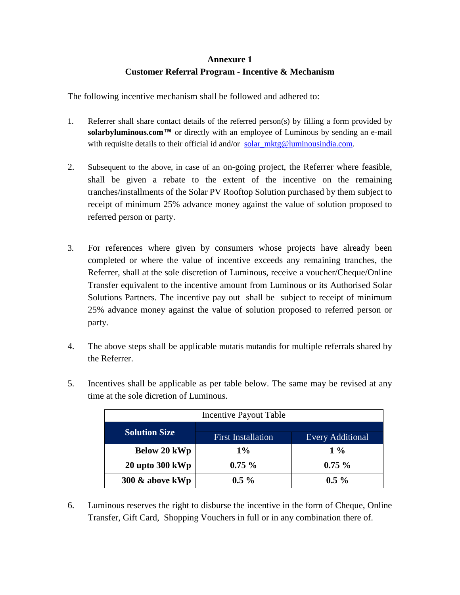# **Annexure 1 Customer Referral Program - Incentive & Mechanism**

The following incentive mechanism shall be followed and adhered to:

- 1. Referrer shall share contact details of the referred person(s) by filling a form provided by solarbyluminous.com<sup>™</sup> or directly with an employee of Luminous by sending an e-mail with requisite details to their official id and/or [solar\\_mktg@luminousindia.com.](mailto:solarbyluminous@luminousindia.com)
- 2. Subsequent to the above, in case of an on-going project, the Referrer where feasible, shall be given a rebate to the extent of the incentive on the remaining tranches/installments of the Solar PV Rooftop Solution purchased by them subject to receipt of minimum 25% advance money against the value of solution proposed to referred person or party.
- 3. For references where given by consumers whose projects have already been completed or where the value of incentive exceeds any remaining tranches, the Referrer, shall at the sole discretion of Luminous, receive a voucher/Cheque/Online Transfer equivalent to the incentive amount from Luminous or its Authorised Solar Solutions Partners. The incentive pay out shall be subject to receipt of minimum 25% advance money against the value of solution proposed to referred person or party.
- 4. The above steps shall be applicable mutatis mutandis for multiple referrals shared by the Referrer.

| Incentive Payout Table |                           |                         |
|------------------------|---------------------------|-------------------------|
| <b>Solution Size</b>   | <b>First Installation</b> | <b>Every Additional</b> |
| Below 20 kWp           | $1\%$                     | $1\%$                   |
| $20$ upto $300$ kWp    | $0.75 \%$                 | $0.75 \%$               |
| 300 & above kWp        | $0.5 \%$                  | $0.5\%$                 |

5. Incentives shall be applicable as per table below. The same may be revised at any time at the sole dicretion of Luminous.

6. Luminous reserves the right to disburse the incentive in the form of Cheque, Online Transfer, Gift Card, Shopping Vouchers in full or in any combination there of.